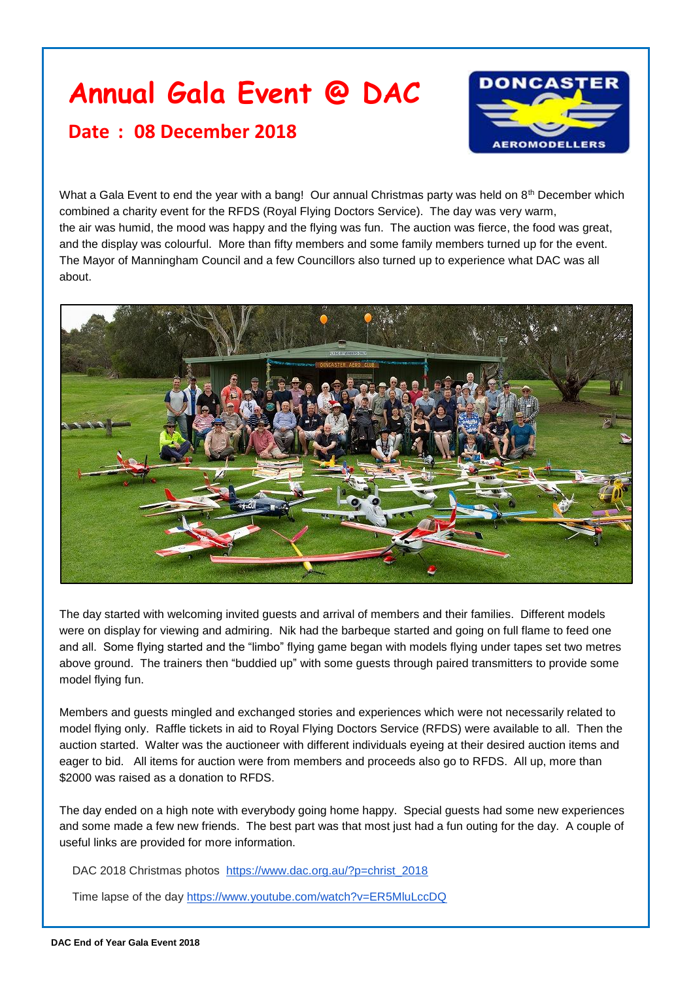## **Annual Gala Event @ DAC**

## **Date : 08 December 2018**



What a Gala Event to end the year with a bang! Our annual Christmas party was held on 8<sup>th</sup> December which combined a charity event for the RFDS (Royal Flying Doctors Service). The day was very warm, the air was humid, the mood was happy and the flying was fun. The auction was fierce, the food was great, and the display was colourful. More than fifty members and some family members turned up for the event. The Mayor of Manningham Council and a few Councillors also turned up to experience what DAC was all about.



The day started with welcoming invited guests and arrival of members and their families. Different models were on display for viewing and admiring. Nik had the barbeque started and going on full flame to feed one and all. Some flying started and the "limbo" flying game began with models flying under tapes set two metres above ground. The trainers then "buddied up" with some guests through paired transmitters to provide some model flying fun.

Members and guests mingled and exchanged stories and experiences which were not necessarily related to model flying only. Raffle tickets in aid to Royal Flying Doctors Service (RFDS) were available to all. Then the auction started. Walter was the auctioneer with different individuals eyeing at their desired auction items and eager to bid. All items for auction were from members and proceeds also go to RFDS. All up, more than \$2000 was raised as a donation to RFDS.

The day ended on a high note with everybody going home happy. Special guests had some new experiences and some made a few new friends. The best part was that most just had a fun outing for the day. A couple of useful links are provided for more information.

DAC 2018 Christmas photos [https://www.dac.org.au/?p=christ\\_2018](https://www.dac.org.au/?p=christ_2018)

Time lapse of the day<https://www.youtube.com/watch?v=ER5MluLccDQ>